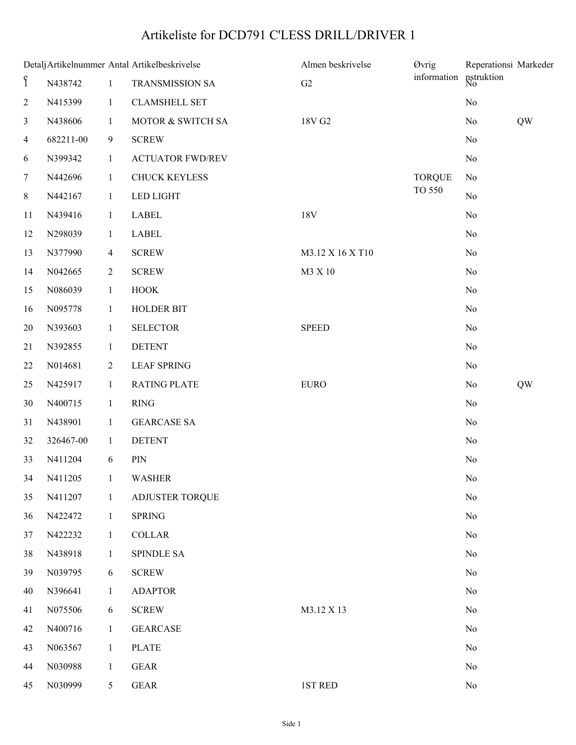## Artikeliste for DCD791 C'LESS DRILL/DRIVER 1

|                |            |                | Detalj Artikelnummer Antal Artikelbeskrivelse | Almen beskrivelse | Øvrig         | Reperationsi Markeder |    |
|----------------|------------|----------------|-----------------------------------------------|-------------------|---------------|-----------------------|----|
| $\mathbf{f}$   | N438742    | $\mathbf{1}$   | TRANSMISSION SA                               | G2                | information   | nstruktion            |    |
| $\sqrt{2}$     | N415399    | $\mathbf{1}$   | <b>CLAMSHELL SET</b>                          |                   |               | No                    |    |
| 3              | N438606    | $\mathbf{1}$   | MOTOR & SWITCH SA                             | 18V G2            |               | N <sub>0</sub>        | QW |
| $\overline{4}$ | 682211-00  | $\overline{9}$ | <b>SCREW</b>                                  |                   |               | N <sub>0</sub>        |    |
| 6              | N399342    | $\mathbf{1}$   | <b>ACTUATOR FWD/REV</b>                       |                   |               | N <sub>0</sub>        |    |
| 7              | N442696    | $\mathbf{1}$   | <b>CHUCK KEYLESS</b>                          |                   | <b>TORQUE</b> | N <sub>0</sub>        |    |
| 8              | N442167    | $\mathbf{1}$   | <b>LED LIGHT</b>                              |                   | <b>TO 550</b> | No                    |    |
| 11             | N439416    | $\mathbf{1}$   | LABEL                                         | 18V               |               | N <sub>0</sub>        |    |
| 12             | N298039    | $\mathbf{1}$   | <b>LABEL</b>                                  |                   |               | N <sub>0</sub>        |    |
| 13             | N377990    | $\overline{4}$ | <b>SCREW</b>                                  | M3.12 X 16 X T10  |               | N <sub>0</sub>        |    |
| 14             | N042665    | $\overline{2}$ | <b>SCREW</b>                                  | M3 X 10           |               | N <sub>0</sub>        |    |
| 15             | N086039    | $\mathbf{1}$   | <b>HOOK</b>                                   |                   |               | N <sub>0</sub>        |    |
| 16             | N095778    | $\mathbf{1}$   | <b>HOLDER BIT</b>                             |                   |               | N <sub>0</sub>        |    |
| 20             | N393603    | $\mathbf{1}$   | <b>SELECTOR</b>                               | <b>SPEED</b>      |               | N <sub>0</sub>        |    |
| 21             | N392855    | $\mathbf{1}$   | <b>DETENT</b>                                 |                   |               | N <sub>0</sub>        |    |
| 22             | N014681    | $\overline{2}$ | <b>LEAF SPRING</b>                            |                   |               | N <sub>0</sub>        |    |
| 25             | N425917    | $\mathbf{1}$   | <b>RATING PLATE</b>                           | <b>EURO</b>       |               | N <sub>0</sub>        | QW |
| 30             | N400715    | $\mathbf{1}$   | RING                                          |                   |               | No                    |    |
| 31             | N438901    | $\mathbf{1}$   | <b>GEARCASE SA</b>                            |                   |               | N <sub>0</sub>        |    |
| 32             | 326467-00  | $\mathbf{1}$   | <b>DETENT</b>                                 |                   |               | N <sub>0</sub>        |    |
| 33             | N411204    | 6              | PIN                                           |                   |               | N <sub>0</sub>        |    |
|                | 34 N411205 | $\overline{1}$ | WASHER                                        |                   |               | N <sub>0</sub>        |    |
| 35             | N411207    | $\mathbf{1}$   | <b>ADJUSTER TORQUE</b>                        |                   |               | $\rm No$              |    |
| 36             | N422472    | $\mathbf{1}$   | <b>SPRING</b>                                 |                   |               | No                    |    |
| 37             | N422232    | $\mathbf{1}$   | <b>COLLAR</b>                                 |                   |               | N <sub>0</sub>        |    |
| 38             | N438918    | $\mathbf{1}$   | <b>SPINDLE SA</b>                             |                   |               | N <sub>0</sub>        |    |
| 39             | N039795    | 6              | <b>SCREW</b>                                  |                   |               | N <sub>0</sub>        |    |
| 40             | N396641    | $\mathbf{1}$   | <b>ADAPTOR</b>                                |                   |               | No                    |    |
| 41             | N075506    | 6              | <b>SCREW</b>                                  | M3.12 X 13        |               | N <sub>0</sub>        |    |
| 42             | N400716    | $\mathbf{1}$   | <b>GEARCASE</b>                               |                   |               | N <sub>0</sub>        |    |
| 43             | N063567    | $\mathbf{1}$   | <b>PLATE</b>                                  |                   |               | No                    |    |
| 44             | N030988    | $\mathbf{1}$   | <b>GEAR</b>                                   |                   |               | N <sub>0</sub>        |    |
| 45             | N030999    | 5              | <b>GEAR</b>                                   | 1ST RED           |               | No                    |    |